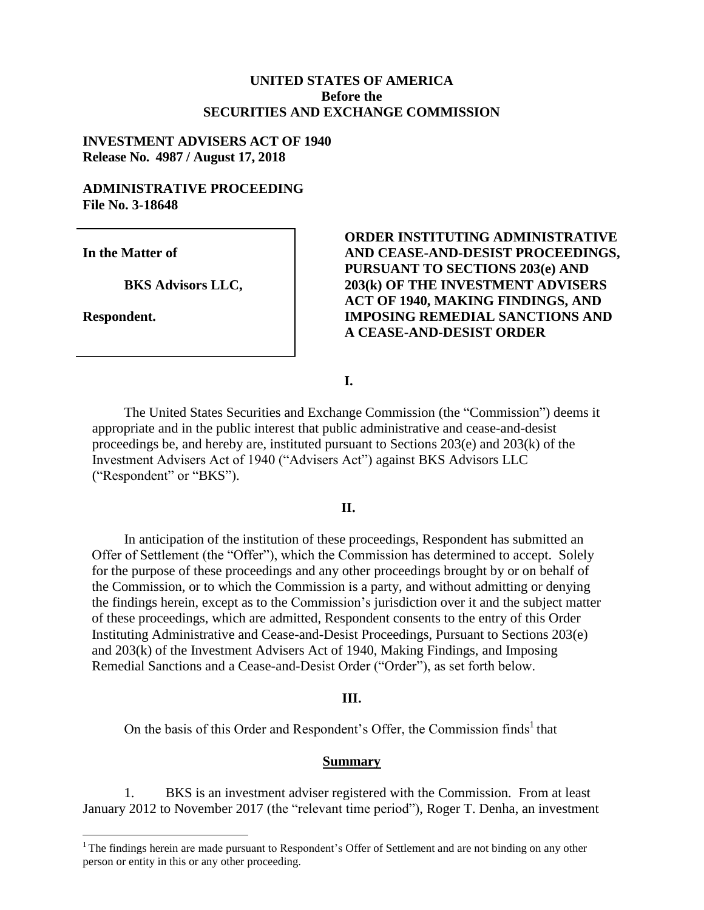## **UNITED STATES OF AMERICA Before the SECURITIES AND EXCHANGE COMMISSION**

#### **INVESTMENT ADVISERS ACT OF 1940 Release No. 4987 / August 17, 2018**

## **ADMINISTRATIVE PROCEEDING File No. 3-18648**

**In the Matter of**

**BKS Advisors LLC,**

**Respondent.**

 $\overline{a}$ 

## **ORDER INSTITUTING ADMINISTRATIVE AND CEASE-AND-DESIST PROCEEDINGS, PURSUANT TO SECTIONS 203(e) AND 203(k) OF THE INVESTMENT ADVISERS ACT OF 1940, MAKING FINDINGS, AND IMPOSING REMEDIAL SANCTIONS AND A CEASE-AND-DESIST ORDER**

**I.**

The United States Securities and Exchange Commission (the "Commission") deems it appropriate and in the public interest that public administrative and cease-and-desist proceedings be, and hereby are, instituted pursuant to Sections 203(e) and 203(k) of the Investment Advisers Act of 1940 ("Advisers Act") against BKS Advisors LLC ("Respondent" or "BKS").

#### **II.**

In anticipation of the institution of these proceedings, Respondent has submitted an Offer of Settlement (the "Offer"), which the Commission has determined to accept. Solely for the purpose of these proceedings and any other proceedings brought by or on behalf of the Commission, or to which the Commission is a party, and without admitting or denying the findings herein, except as to the Commission's jurisdiction over it and the subject matter of these proceedings, which are admitted, Respondent consents to the entry of this Order Instituting Administrative and Cease-and-Desist Proceedings, Pursuant to Sections 203(e) and 203(k) of the Investment Advisers Act of 1940, Making Findings, and Imposing Remedial Sanctions and a Cease-and-Desist Order ("Order"), as set forth below.

#### **III.**

On the basis of this Order and Respondent's Offer, the Commission finds<sup>1</sup> that

#### **Summary**

1. BKS is an investment adviser registered with the Commission. From at least January 2012 to November 2017 (the "relevant time period"), Roger T. Denha, an investment

 $<sup>1</sup>$ The findings herein are made pursuant to Respondent's Offer of Settlement and are not binding on any other</sup> person or entity in this or any other proceeding.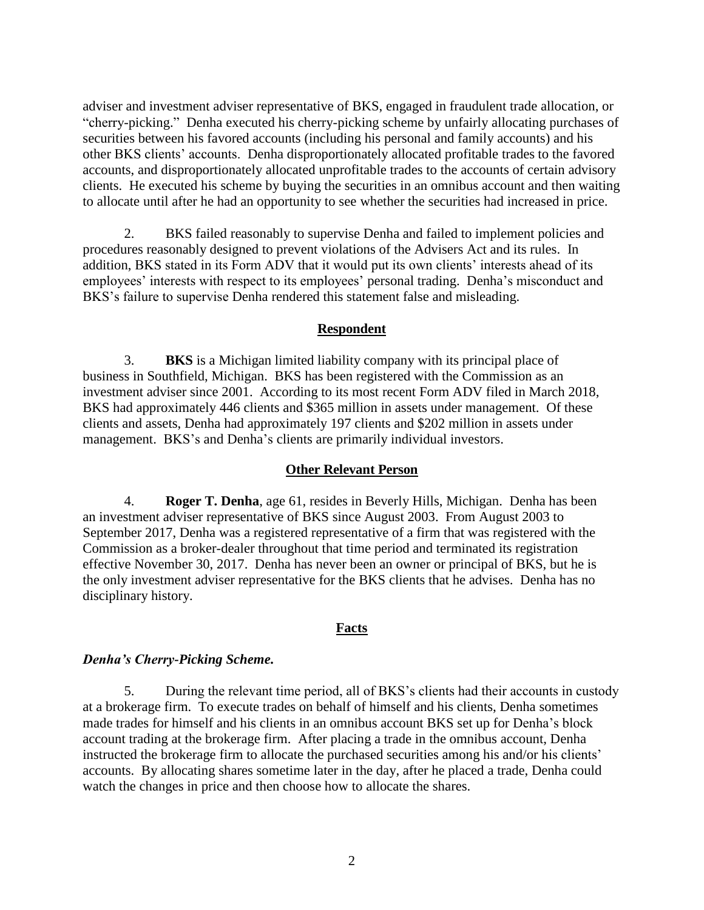adviser and investment adviser representative of BKS, engaged in fraudulent trade allocation, or "cherry-picking." Denha executed his cherry-picking scheme by unfairly allocating purchases of securities between his favored accounts (including his personal and family accounts) and his other BKS clients' accounts. Denha disproportionately allocated profitable trades to the favored accounts, and disproportionately allocated unprofitable trades to the accounts of certain advisory clients. He executed his scheme by buying the securities in an omnibus account and then waiting to allocate until after he had an opportunity to see whether the securities had increased in price.

2. BKS failed reasonably to supervise Denha and failed to implement policies and procedures reasonably designed to prevent violations of the Advisers Act and its rules. In addition, BKS stated in its Form ADV that it would put its own clients' interests ahead of its employees' interests with respect to its employees' personal trading. Denha's misconduct and BKS's failure to supervise Denha rendered this statement false and misleading.

## **Respondent**

3. **BKS** is a Michigan limited liability company with its principal place of business in Southfield, Michigan. BKS has been registered with the Commission as an investment adviser since 2001. According to its most recent Form ADV filed in March 2018, BKS had approximately 446 clients and \$365 million in assets under management. Of these clients and assets, Denha had approximately 197 clients and \$202 million in assets under management. BKS's and Denha's clients are primarily individual investors.

## **Other Relevant Person**

4. **Roger T. Denha**, age 61, resides in Beverly Hills, Michigan. Denha has been an investment adviser representative of BKS since August 2003. From August 2003 to September 2017, Denha was a registered representative of a firm that was registered with the Commission as a broker-dealer throughout that time period and terminated its registration effective November 30, 2017. Denha has never been an owner or principal of BKS, but he is the only investment adviser representative for the BKS clients that he advises. Denha has no disciplinary history.

## **Facts**

## *Denha's Cherry-Picking Scheme.*

5. During the relevant time period, all of BKS's clients had their accounts in custody at a brokerage firm. To execute trades on behalf of himself and his clients, Denha sometimes made trades for himself and his clients in an omnibus account BKS set up for Denha's block account trading at the brokerage firm. After placing a trade in the omnibus account, Denha instructed the brokerage firm to allocate the purchased securities among his and/or his clients' accounts. By allocating shares sometime later in the day, after he placed a trade, Denha could watch the changes in price and then choose how to allocate the shares.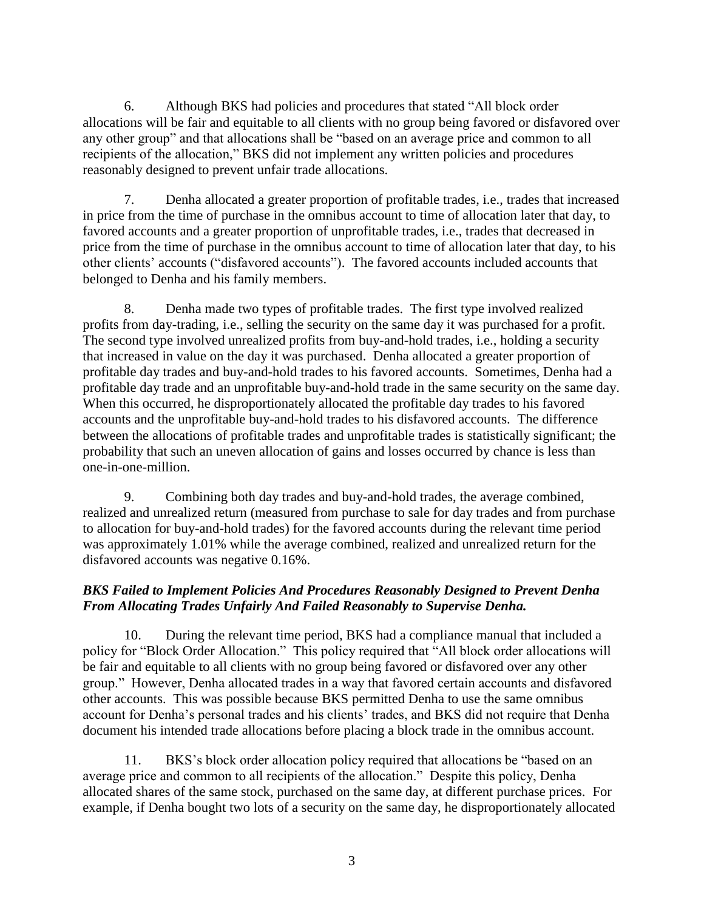6. Although BKS had policies and procedures that stated "All block order allocations will be fair and equitable to all clients with no group being favored or disfavored over any other group" and that allocations shall be "based on an average price and common to all recipients of the allocation," BKS did not implement any written policies and procedures reasonably designed to prevent unfair trade allocations.

7. Denha allocated a greater proportion of profitable trades, i.e., trades that increased in price from the time of purchase in the omnibus account to time of allocation later that day, to favored accounts and a greater proportion of unprofitable trades, i.e., trades that decreased in price from the time of purchase in the omnibus account to time of allocation later that day, to his other clients' accounts ("disfavored accounts"). The favored accounts included accounts that belonged to Denha and his family members.

8. Denha made two types of profitable trades. The first type involved realized profits from day-trading, i.e., selling the security on the same day it was purchased for a profit. The second type involved unrealized profits from buy-and-hold trades, i.e., holding a security that increased in value on the day it was purchased. Denha allocated a greater proportion of profitable day trades and buy-and-hold trades to his favored accounts. Sometimes, Denha had a profitable day trade and an unprofitable buy-and-hold trade in the same security on the same day. When this occurred, he disproportionately allocated the profitable day trades to his favored accounts and the unprofitable buy-and-hold trades to his disfavored accounts. The difference between the allocations of profitable trades and unprofitable trades is statistically significant; the probability that such an uneven allocation of gains and losses occurred by chance is less than one-in-one-million.

9. Combining both day trades and buy-and-hold trades, the average combined, realized and unrealized return (measured from purchase to sale for day trades and from purchase to allocation for buy-and-hold trades) for the favored accounts during the relevant time period was approximately 1.01% while the average combined, realized and unrealized return for the disfavored accounts was negative 0.16%.

# *BKS Failed to Implement Policies And Procedures Reasonably Designed to Prevent Denha From Allocating Trades Unfairly And Failed Reasonably to Supervise Denha.*

10. During the relevant time period, BKS had a compliance manual that included a policy for "Block Order Allocation." This policy required that "All block order allocations will be fair and equitable to all clients with no group being favored or disfavored over any other group." However, Denha allocated trades in a way that favored certain accounts and disfavored other accounts. This was possible because BKS permitted Denha to use the same omnibus account for Denha's personal trades and his clients' trades, and BKS did not require that Denha document his intended trade allocations before placing a block trade in the omnibus account.

11. BKS's block order allocation policy required that allocations be "based on an average price and common to all recipients of the allocation." Despite this policy, Denha allocated shares of the same stock, purchased on the same day, at different purchase prices. For example, if Denha bought two lots of a security on the same day, he disproportionately allocated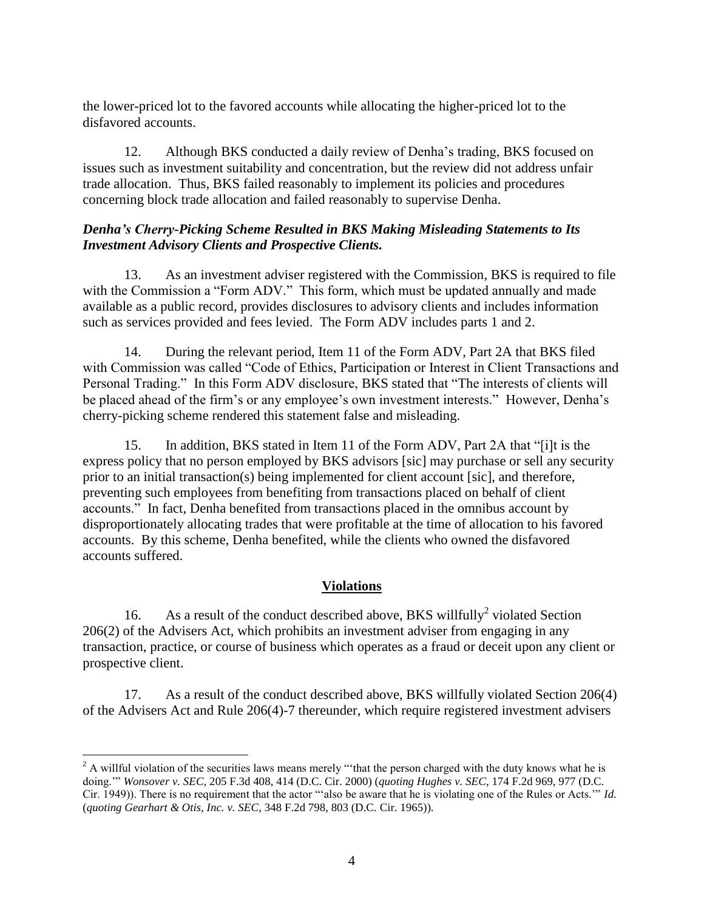the lower-priced lot to the favored accounts while allocating the higher-priced lot to the disfavored accounts.

12. Although BKS conducted a daily review of Denha's trading, BKS focused on issues such as investment suitability and concentration, but the review did not address unfair trade allocation. Thus, BKS failed reasonably to implement its policies and procedures concerning block trade allocation and failed reasonably to supervise Denha.

## *Denha's Cherry-Picking Scheme Resulted in BKS Making Misleading Statements to Its Investment Advisory Clients and Prospective Clients.*

13. As an investment adviser registered with the Commission, BKS is required to file with the Commission a "Form ADV." This form, which must be updated annually and made available as a public record, provides disclosures to advisory clients and includes information such as services provided and fees levied. The Form ADV includes parts 1 and 2.

14. During the relevant period, Item 11 of the Form ADV, Part 2A that BKS filed with Commission was called "Code of Ethics, Participation or Interest in Client Transactions and Personal Trading." In this Form ADV disclosure, BKS stated that "The interests of clients will be placed ahead of the firm's or any employee's own investment interests." However, Denha's cherry-picking scheme rendered this statement false and misleading.

15. In addition, BKS stated in Item 11 of the Form ADV, Part 2A that "[i]t is the express policy that no person employed by BKS advisors [sic] may purchase or sell any security prior to an initial transaction(s) being implemented for client account [sic], and therefore, preventing such employees from benefiting from transactions placed on behalf of client accounts." In fact, Denha benefited from transactions placed in the omnibus account by disproportionately allocating trades that were profitable at the time of allocation to his favored accounts. By this scheme, Denha benefited, while the clients who owned the disfavored accounts suffered.

# **Violations**

16. As a result of the conduct described above, BKS willfully<sup>2</sup> violated Section 206(2) of the Advisers Act, which prohibits an investment adviser from engaging in any transaction, practice, or course of business which operates as a fraud or deceit upon any client or prospective client.

17. As a result of the conduct described above, BKS willfully violated Section 206(4) of the Advisers Act and Rule 206(4)-7 thereunder, which require registered investment advisers

 $\overline{a}$  $2^2$  A willful violation of the securities laws means merely "that the person charged with the duty knows what he is doing.'" *Wonsover v. SEC*, 205 F.3d 408, 414 (D.C. Cir. 2000) (*quoting Hughes v. SEC*, 174 F.2d 969, 977 (D.C. Cir. 1949)). There is no requirement that the actor "'also be aware that he is violating one of the Rules or Acts.'" *Id.*  (*quoting Gearhart & Otis, Inc. v. SEC*, 348 F.2d 798, 803 (D.C. Cir. 1965)).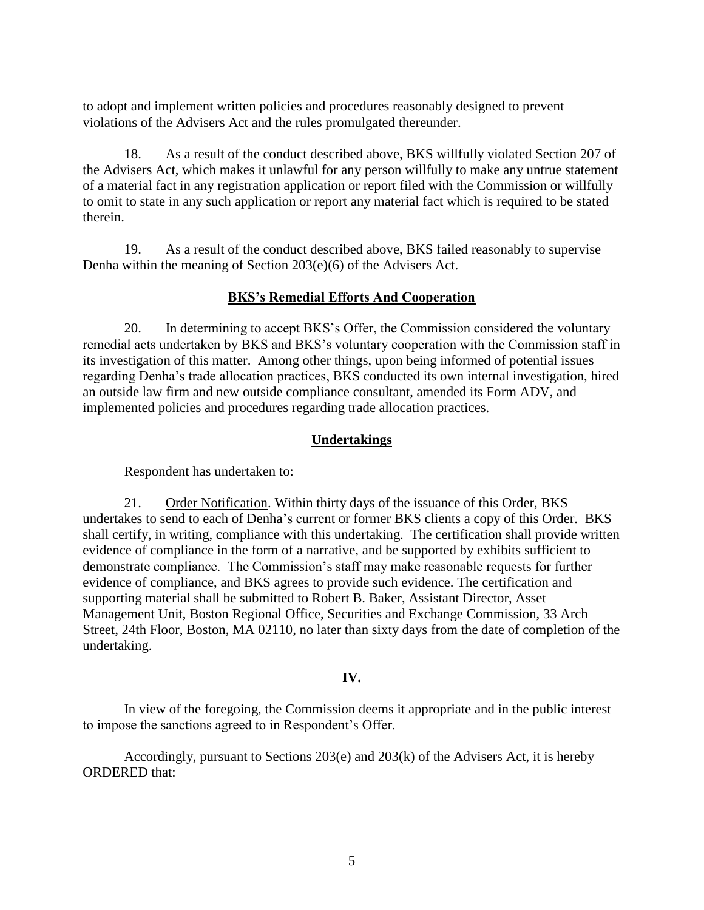to adopt and implement written policies and procedures reasonably designed to prevent violations of the Advisers Act and the rules promulgated thereunder.

18. As a result of the conduct described above, BKS willfully violated Section 207 of the Advisers Act, which makes it unlawful for any person willfully to make any untrue statement of a material fact in any registration application or report filed with the Commission or willfully to omit to state in any such application or report any material fact which is required to be stated therein.

19. As a result of the conduct described above, BKS failed reasonably to supervise Denha within the meaning of Section 203(e)(6) of the Advisers Act.

## **BKS's Remedial Efforts And Cooperation**

20. In determining to accept BKS's Offer, the Commission considered the voluntary remedial acts undertaken by BKS and BKS's voluntary cooperation with the Commission staff in its investigation of this matter. Among other things, upon being informed of potential issues regarding Denha's trade allocation practices, BKS conducted its own internal investigation, hired an outside law firm and new outside compliance consultant, amended its Form ADV, and implemented policies and procedures regarding trade allocation practices.

## **Undertakings**

Respondent has undertaken to:

21. Order Notification. Within thirty days of the issuance of this Order, BKS undertakes to send to each of Denha's current or former BKS clients a copy of this Order. BKS shall certify, in writing, compliance with this undertaking. The certification shall provide written evidence of compliance in the form of a narrative, and be supported by exhibits sufficient to demonstrate compliance. The Commission's staff may make reasonable requests for further evidence of compliance, and BKS agrees to provide such evidence. The certification and supporting material shall be submitted to Robert B. Baker, Assistant Director, Asset Management Unit, Boston Regional Office, Securities and Exchange Commission, 33 Arch Street, 24th Floor, Boston, MA 02110, no later than sixty days from the date of completion of the undertaking.

## **IV.**

In view of the foregoing, the Commission deems it appropriate and in the public interest to impose the sanctions agreed to in Respondent's Offer.

Accordingly, pursuant to Sections 203(e) and 203(k) of the Advisers Act, it is hereby ORDERED that: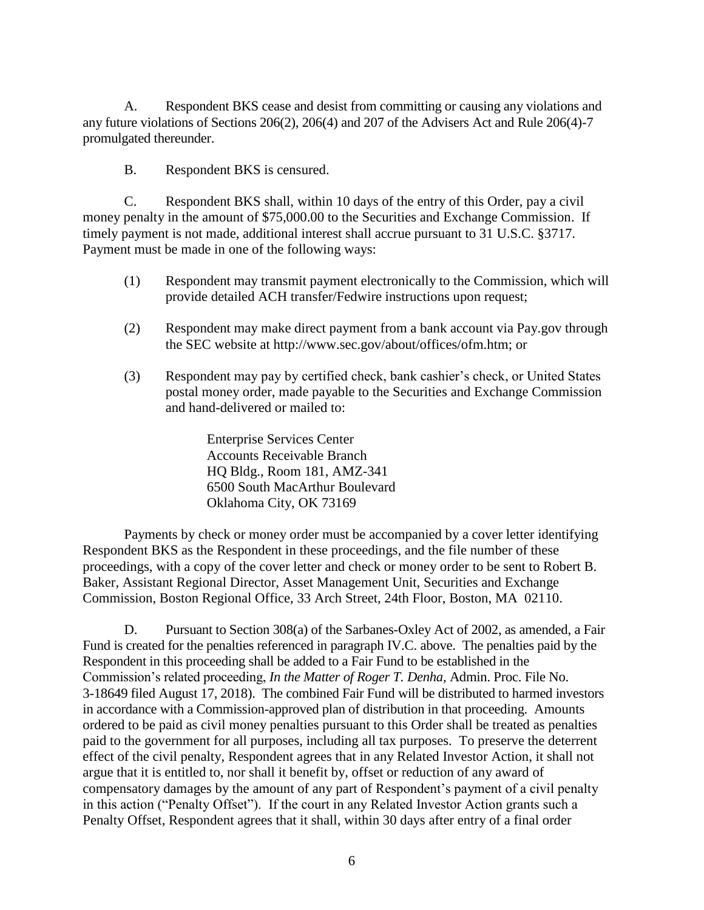A. Respondent BKS cease and desist from committing or causing any violations and any future violations of Sections 206(2), 206(4) and 207 of the Advisers Act and Rule 206(4)-7 promulgated thereunder.

B. Respondent BKS is censured.

C. Respondent BKS shall, within 10 days of the entry of this Order, pay a civil money penalty in the amount of \$75,000.00 to the Securities and Exchange Commission. If timely payment is not made, additional interest shall accrue pursuant to 31 U.S.C. §3717. Payment must be made in one of the following ways:

- (1) Respondent may transmit payment electronically to the Commission, which will provide detailed ACH transfer/Fedwire instructions upon request;
- (2) Respondent may make direct payment from a bank account via Pay.gov through the SEC website at http://www.sec.gov/about/offices/ofm.htm; or
- (3) Respondent may pay by certified check, bank cashier's check, or United States postal money order, made payable to the Securities and Exchange Commission and hand-delivered or mailed to:

Enterprise Services Center Accounts Receivable Branch HQ Bldg., Room 181, AMZ-341 6500 South MacArthur Boulevard Oklahoma City, OK 73169

Payments by check or money order must be accompanied by a cover letter identifying Respondent BKS as the Respondent in these proceedings, and the file number of these proceedings, with a copy of the cover letter and check or money order to be sent to Robert B. Baker, Assistant Regional Director, Asset Management Unit, Securities and Exchange Commission, Boston Regional Office, 33 Arch Street, 24th Floor, Boston, MA 02110.

D. Pursuant to Section 308(a) of the Sarbanes-Oxley Act of 2002, as amended, a Fair Fund is created for the penalties referenced in paragraph IV.C. above. The penalties paid by the Respondent in this proceeding shall be added to a Fair Fund to be established in the Commission's related proceeding, *In the Matter of Roger T. Denha*, Admin. Proc. File No. 3-18649 filed August 17, 2018). The combined Fair Fund will be distributed to harmed investors in accordance with a Commission-approved plan of distribution in that proceeding. Amounts ordered to be paid as civil money penalties pursuant to this Order shall be treated as penalties paid to the government for all purposes, including all tax purposes. To preserve the deterrent effect of the civil penalty, Respondent agrees that in any Related Investor Action, it shall not argue that it is entitled to, nor shall it benefit by, offset or reduction of any award of compensatory damages by the amount of any part of Respondent's payment of a civil penalty in this action ("Penalty Offset"). If the court in any Related Investor Action grants such a Penalty Offset, Respondent agrees that it shall, within 30 days after entry of a final order